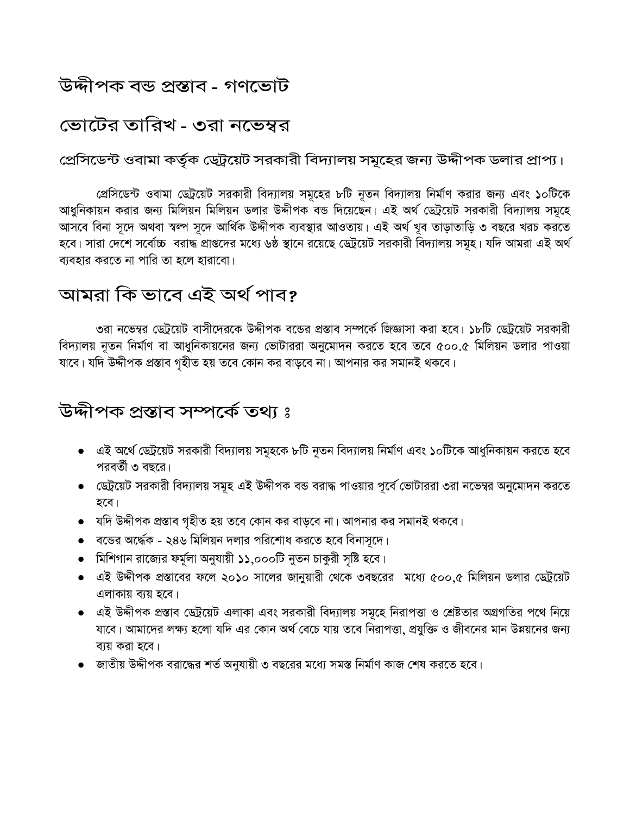# উদ্দীপক বন্ড প্ৰস্তাব - গণভোট

# জোটের তারিখ - ৩রা নভেম্বর

প্রেসিডেন্ট ওবামা কর্তৃক ডেট্রয়েট সরকারী বিদ্যালয় সমূহের জন্য উদ্দীপক ডলার প্রাপ্য।

প্রেসিডেন্ট ওবামা ডেট্রয়েট সরকারী বিদ্যালয় সমুহের ৮টি নূতন বিদ্যালয় নির্মাণ করার জন্য এবং ১০টিকে আধুনিকায়ন করার জন্য মিলিয়ন মিলিয়ন ডলার উদ্দীপক বন্ড দিয়েছেন। এই অর্থ ড্টেয়েট সরকারী বিদ্যালয় সমূহে আসবে বিনা সূদে অথবা স্বল্প সূদে আৰ্থিক উদ্দীপক ব্যবস্থার আওতায়। এই অৰ্থ খুব তাড়াতাড়ি ৩ বছরে খরচ করতে হবে। সারা দেশে সর্বোচ্চ বরাদ্ধ প্রাপ্তদের মধ্যে ৬ষ্ঠ স্থানে রয়েছে ডেট্রয়েট সরকারী বিদ্যালয় সমূহ। যদি আমরা এই অর্থ ব্যবহার করতে না পারি তা হলে হারাবো।

## আমরা কি ভাবে এই অর্থ পাব?

৩রা নভেম্বর ডেট্রয়েট বাসীদেরকে উদ্দীপক বন্ডের প্রস্তাব সম্পর্কে জিজ্ঞাসা করা হবে। ১৮টি ডেট্রয়েট সরকারী বিদ্যালয় নুতন নির্মাণ বা আধুনিকায়নের জন্য ভোটাররা অনুমোদন করতে হবে তবে ৫০০.৫ মিলিয়ন ডলার পাওয়া যাবে। যদি উদ্দীপক প্রস্তাব গৃহীত হয় তবে কোন কর বাড়বে না। আপনার কর সমানই থকবে।

# উদ্দীপক প্ৰস্তাব সম্পৰ্কে তথ্য ঃ

- এই অর্থে ডেট্রয়েট সরকারী বিদ্যালয় সমূহকে ৮টি নূতন বিদ্যালয় নির্মাণ এবং ১০টিকে আধুনিকায়ন করতে হবে পরবর্তী ৩ বছরে।
- ডেট্রয়েট সরকারী বিদ্যালয় সমুহ এই উদ্দীপক বন্ড বরাদ্ধ পাওয়ার পূর্বে ভোটাররা ৩রা নভেম্বর অনুমোদন করতে হবে।
- $\bullet$  যদি উদ্দীপক প্রস্তাব গৃহীত হয় তবে কোন কর বাড়বে না। আপনার কর সমানই থকবে।
- $\bullet$  বন্ডের অর্দ্ধেক ২৪৬ মিলিয়ন দলার পরিশোধ করতে হবে বিনাসূদে।
- মিশিগান রাজ্যের ফর্মূলা অনুযায়ী ১১,০০০টি নুতন চাকুরী সৃষ্টি হবে।
- এই উদ্দীপক প্রস্তাবের ফলে ২০১০ সালের জানুয়ারী থেকে ৩বছরের মধ্যে ৫০০.৫ মিলিয়ন ডলার ডেটুয়েট এলাকায় ব্যয় হবে।
- এই উদ্দীপক প্রস্তাব ডেট্রয়েট এলাকা এবং সরকারী বিদ্যালয় সমূহে নিরাপত্তা ও শ্রেষ্টতার অগ্রগতির পথে নিয়ে যাবে। আমাদের লক্ষ্য হলো যদি এর কোন অর্থ বেচে যায় তবে নিরাপত্তা, প্রযুক্তি ও জীবনের মান উন্নয়নের জন্য ব্যয় করা হবে।
- জাতীয় উদ্দীপক বরাদ্ধের শর্ত অনুযায়ী ৩ বছরের মধ্যে সমস্ত নির্মাণ কাজ শেষ করতে হবে।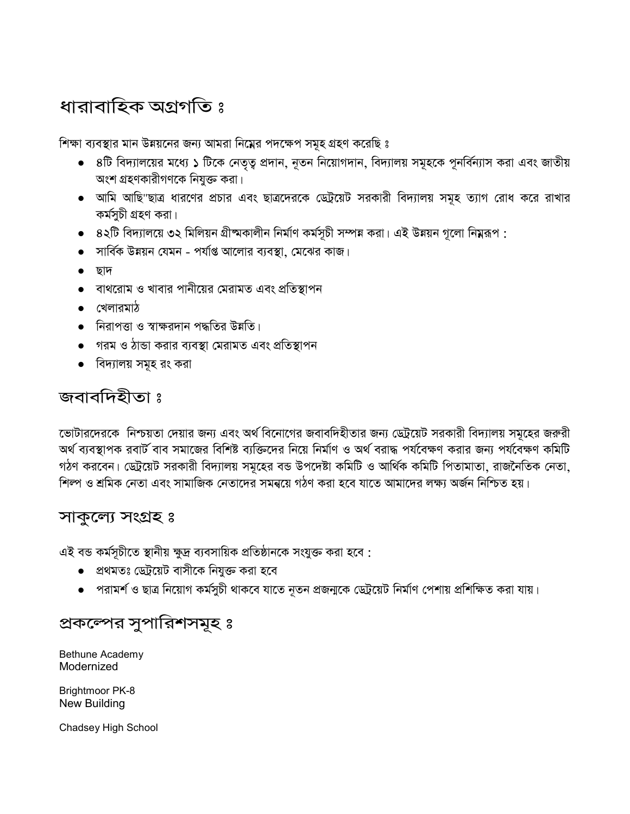# ধারাবাহিক অগ্রগতি ঃ

শিক্ষা ব্যবস্থার মান উন্নয়নের জন্য আমরা নিম্নের পদক্ষেপ সমূহ গ্রহণ করেছি ঃ

- ৪টি বিদ্যালয়ের মধ্যে ১ টিকে নেতৃত্ব প্রদান, নূতন নিয়োগদান, বিদ্যালয় সমূহকে পূনর্বিন্যাস করা এবং জাতীয় অংশ গ্রহণকারীগণকে নিযুক্ত করা।
- আমি আছি"ছাত্র ধারণের প্রচার এবং ছাত্রদেরকে ডেট্রয়েট সরকারী বিদ্যালয় সমূহ ত্যাগ রোধ করে রাখার কৰ্মসুচী গ্ৰহণ করা।
- $\bullet$   $\,$  ৪২টি বিদ্যালয়ে ৩২ মিলিয়ন গ্রীষ্মকালীন নির্মাণ কর্মসূচী সম্পন্ন করা। এই উন্নয়ন গুলো নিম্নরূপ :
- $\bullet$  সার্বিক উন্নয়ন যেমন পর্যাপ্ত আলোর ব্যবস্থা, মেঝের কাজ।
- ∙ ছাদ
- বাথরোম ও খাবার পানীয়ের মেরামত এবং প্রতিস্থাপন
- $\bullet$  খেলারমাঠ
- নিরাপত্তা ও স্বাক্ষরদান পদ্ধতির উন্নতি।
- গরম ও ঠান্ডা করার ব্যবস্থা মেরামত এবং প্রতিস্থাপন
- বিদ্যালয় সমূহ রং করা

## জবাবদিহীতা ঃ

ভোটারদেরকে নিশ্চয়তা দেয়ার জন্য এবং অর্থ বিনোগের জবাবদিহীতার জন্য ডেট্রয়েট সরকারী বিদ্যালয় সমূহের জরুরী অর্থ ব্যবস্থাপক রবার্ট বাব সমাজের বিশিষ্ট ব্যক্তিদের নিয়ে নির্মাণ ও অর্থ বরাদ্ধ পর্যবেক্ষণ করার জন্য পর্যবেক্ষণ কমিটি গঠণ করবেন। ডেট্রয়েট সরকারী বিদ্যালয় সমূহের বন্ড উপদেষ্টা কমিটি ও আর্থিক কমিটি পিতামাতা, রাজনৈতিক নেতা, শিল্প ও শ্রমিক নেতা এবং সামাজিক নেতাদের সমন্বয়ে গঠণ করা হবে যাতে আমাদের লক্ষ্য অর্জন নিশ্চিত হয়।

## সাকুল্যে সংগ্ৰহ ঃ

Bethune Academy Modernized

Brightmoor PK-8 New Building

Chadsey High School

প্রকল্পের সুপারিশসমূহ ঃ

এই বন্ড কর্মসূচীতে স্থানীয় ক্ষুদ্র ব্যবসায়িক প্রতিষ্ঠানকে সংযুক্ত করা হবে :

### • প্রথমতঃ ডেট্রয়েট বাসীকে নিযুক্ত করা হবে

- 
- 
- 
- 
- পরামর্শ ও ছাত্র নিয়োগ কর্মসুচী থাকবে যাতে নূতন প্রজন্মকে ডেট্রয়েট নির্মাণ পেশায় প্রশিক্ষিত করা যায়।
- 
-